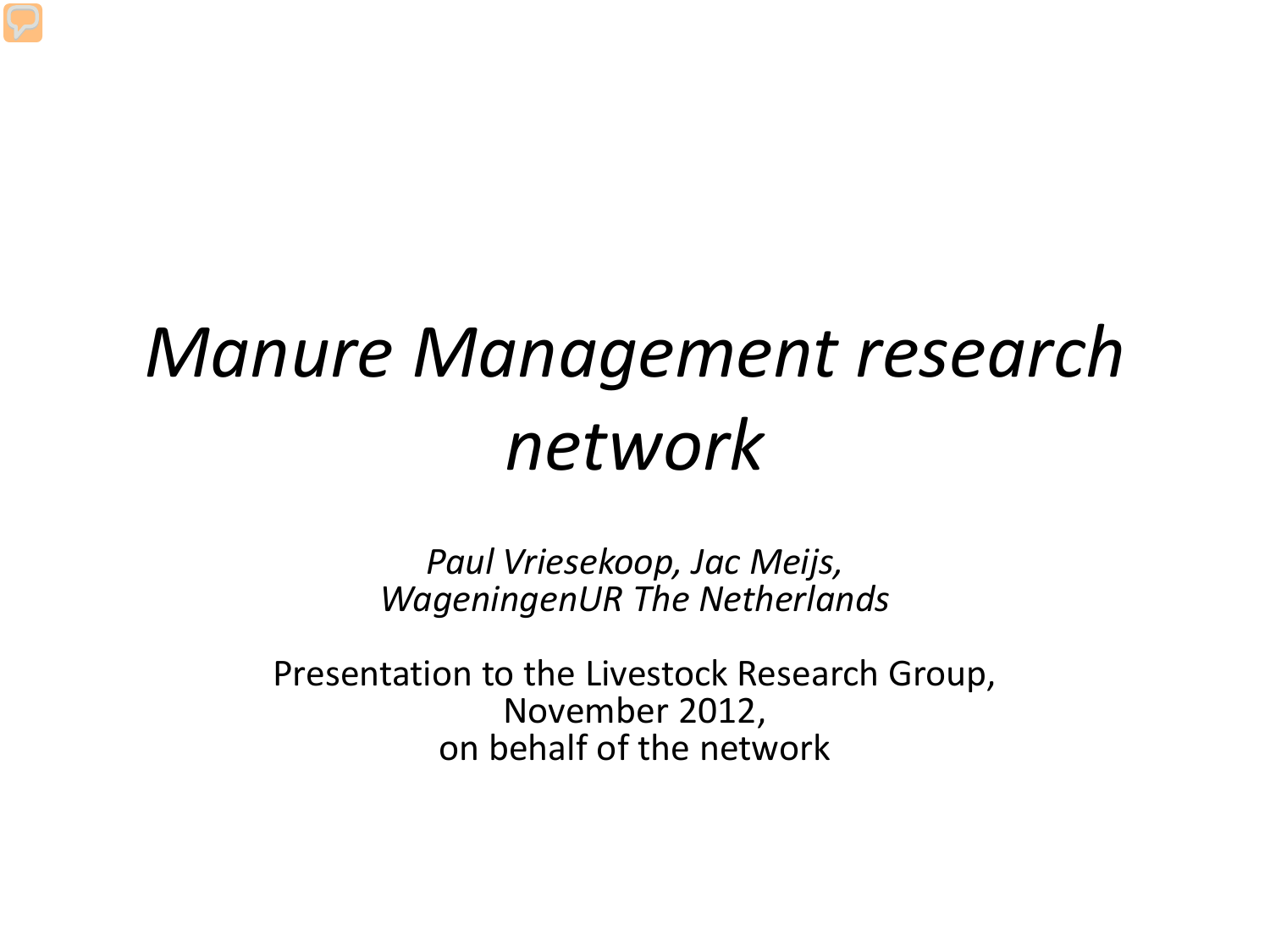#### *Manure Management research network*

*Paul Vriesekoop, Jac Meijs, WageningenUR The Netherlands* 

Presentation to the Livestock Research Group, November 2012, on behalf of the network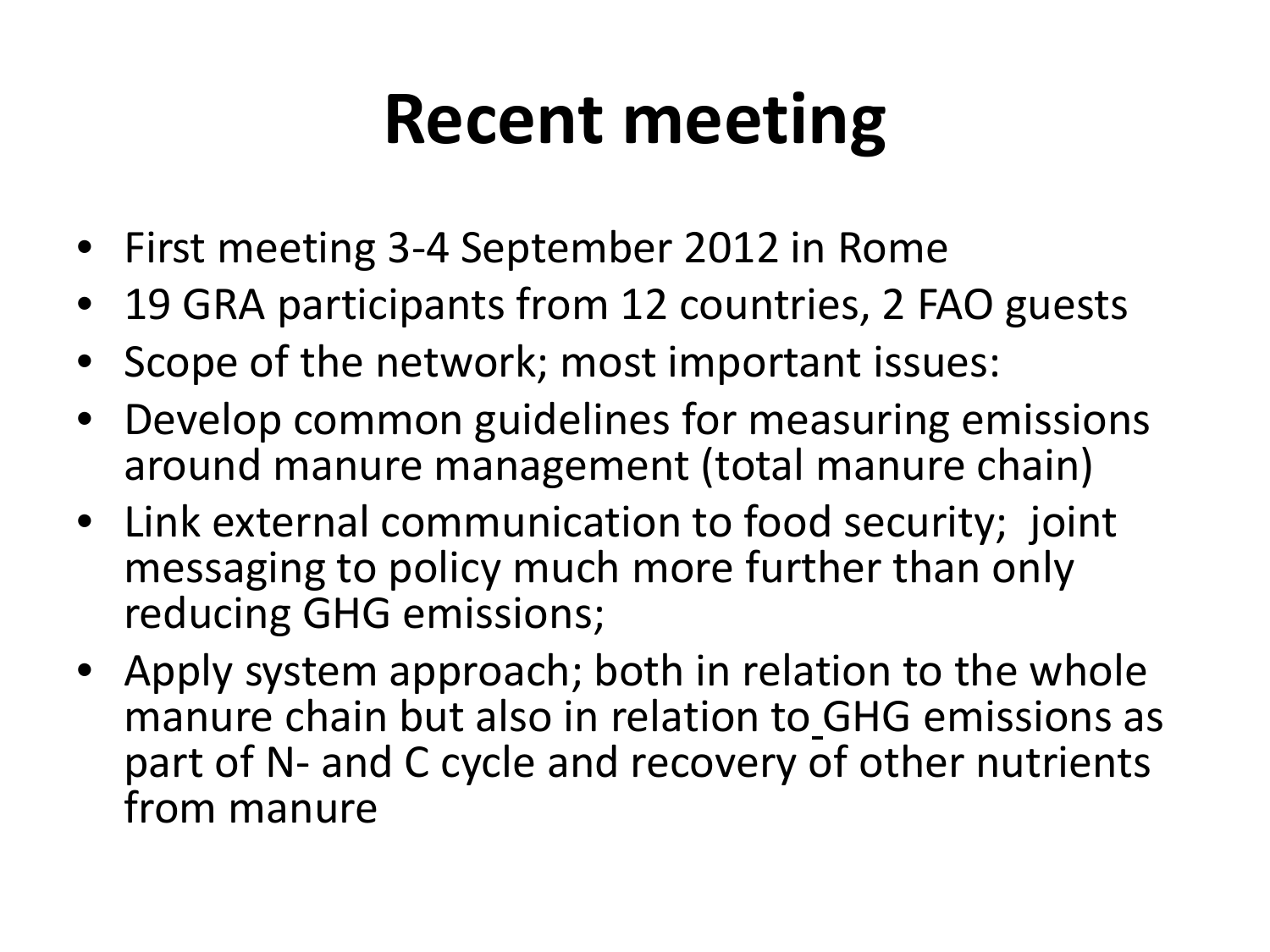### **Recent meeting**

- First meeting 3-4 September 2012 in Rome
- 19 GRA participants from 12 countries, 2 FAO guests
- Scope of the network; most important issues:
- Develop common guidelines for measuring emissions around manure management (total manure chain)
- Link external communication to food security; joint messaging to policy much more further than only reducing GHG emissions;
- Apply system approach; both in relation to the whole manure chain but also in relation to GHG emissions as part of N- and C cycle and recovery of other nutrients from manure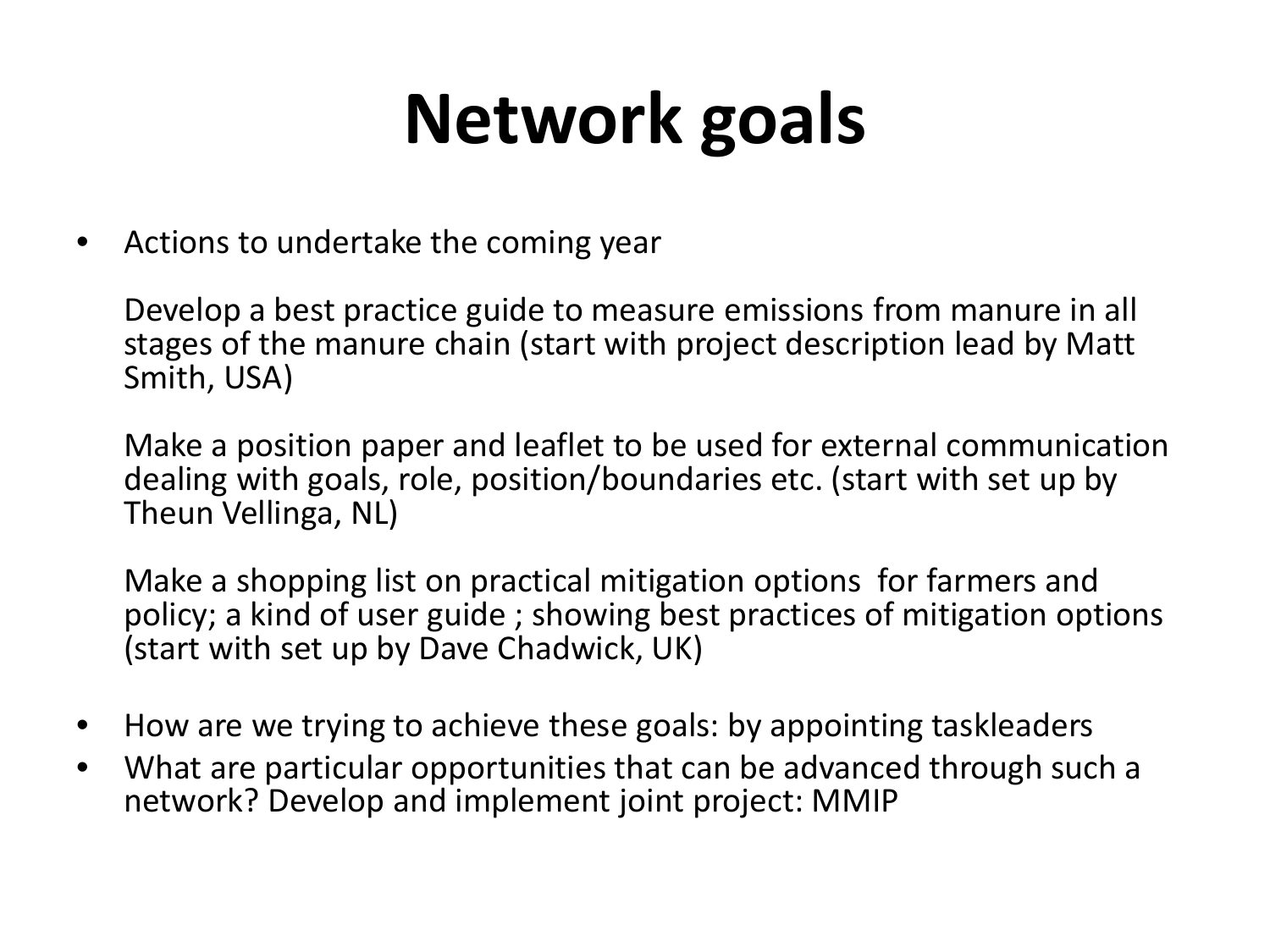## **Network goals**

• Actions to undertake the coming year

Develop a best practice guide to measure emissions from manure in all stages of the manure chain (start with project description lead by Matt Smith, USA)

Make a position paper and leaflet to be used for external communication dealing with goals, role, position/boundaries etc. (start with set up by Theun Vellinga, NL)

Make a shopping list on practical mitigation options for farmers and policy; a kind of user guide ; showing best practices of mitigation options (start with set up by Dave Chadwick, UK)

- How are we trying to achieve these goals: by appointing taskleaders
- What are particular opportunities that can be advanced through such a network? Develop and implement joint project: MMIP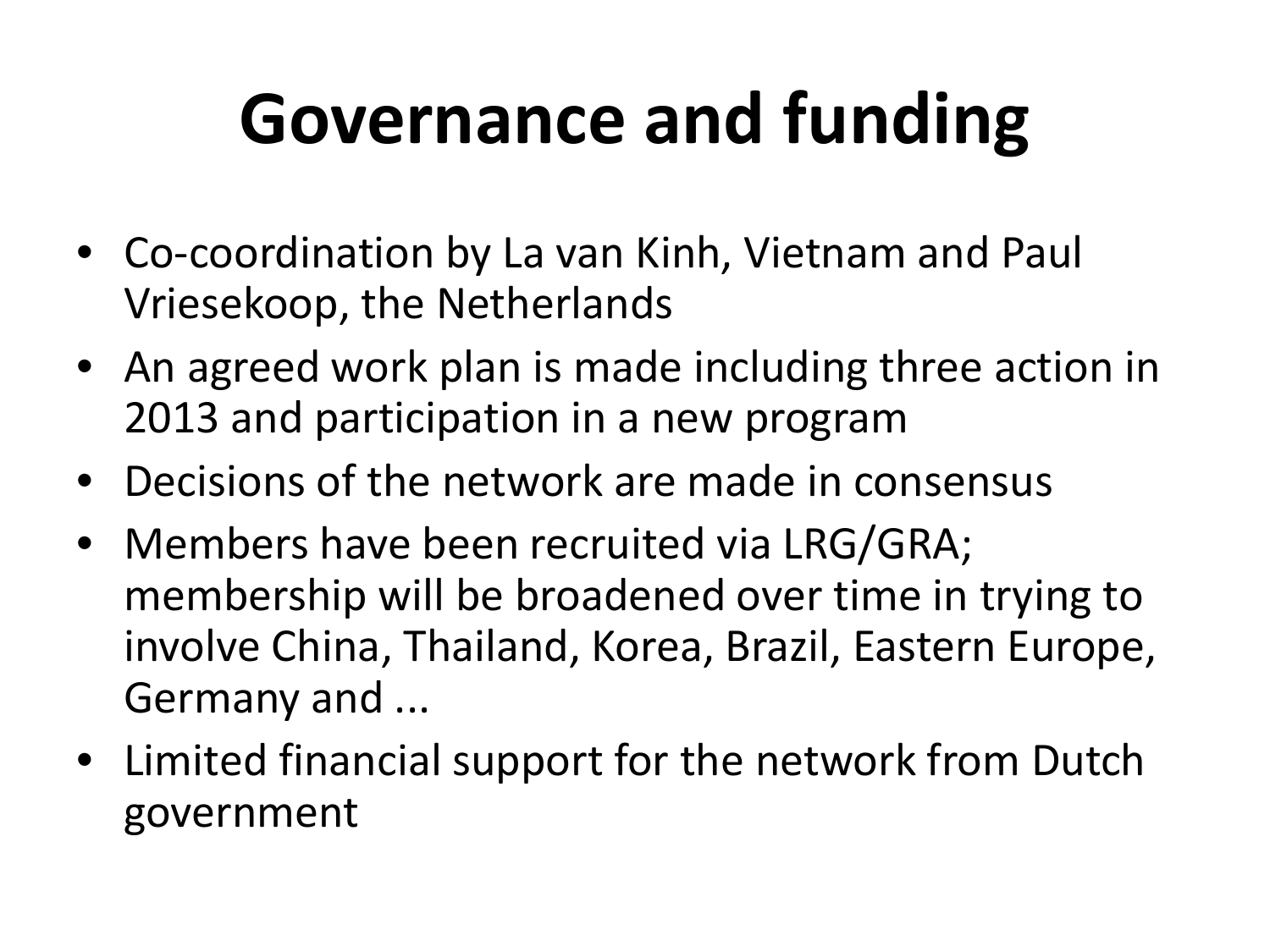## **Governance and funding**

- Co-coordination by La van Kinh, Vietnam and Paul Vriesekoop, the Netherlands
- An agreed work plan is made including three action in 2013 and participation in a new program
- Decisions of the network are made in consensus
- Members have been recruited via LRG/GRA; membership will be broadened over time in trying to involve China, Thailand, Korea, Brazil, Eastern Europe, Germany and ...
- Limited financial support for the network from Dutch government